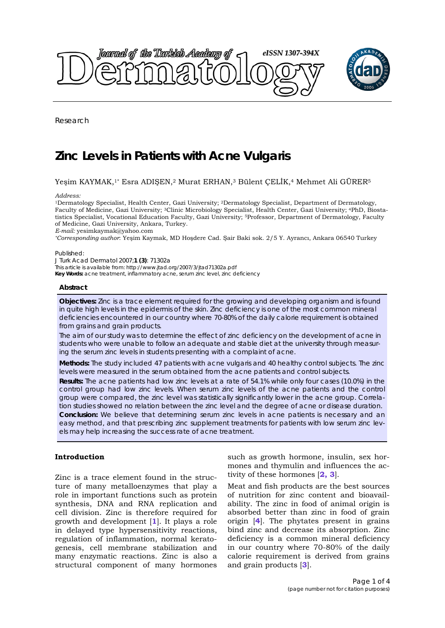

Research

# **Zinc Levels in Patients with Acne Vulgaris**

# Yeşim KAYMAK,1\* Esra ADIŞEN,2 Murat ERHAN,3 Bülent ÇELİK,4 Mehmet Ali GÜRER5

*Address:* 

1Dermatology Specialist, Health Center, Gazi University; 2Dermatology Specialist, Department of Dermatology, Faculty of Medicine, Gazi University; 3Clinic Microbiology Specialist, Health Center, Gazi University; 4PhD, Biostatistics Specialist, Vocational Education Faculty, Gazi University; 5Professor, Department of Dermatology, Faculty of Medicine, Gazi University, Ankara, Turkey.

*E-mail:* yesimkaymak@yahoo.com

*\*Corresponding author*: Yeşim Kaymak, MD Hoşdere Cad. Şair Baki sok. 2/5 Y. Ayrancı, Ankara 06540 Turkey

#### Published:

*J Turk Acad Dermatol* 2007;**1 (3)**: 71302a This article is available from: http://www.jtad.org/2007/3/jtad71302a.pdf **Key Words:** acne treatment, inflammatory acne, serum zinc level, zinc deficiency

#### **Abstract**

**Objectives:** Zinc is a trace element required for the growing and developing organism and is found in quite high levels in the epidermis of the skin. Zinc deficiency is one of the most common mineral deficiencies encountered in our country where 70-80% of the daily calorie requirement is obtained from grains and grain products.

The aim of our study was to determine the effect of zinc deficiency on the development of acne in students who were unable to follow an adequate and stable diet at the university through measuring the serum zinc levels in students presenting with a complaint of acne.

**Methods:** The study included 47 patients with acne vulgaris and 40 healthy control subjects. The zinc levels were measured in the serum obtained from the acne patients and control subjects.

**Results:** The acne patients had low zinc levels at a rate of 54.1% while only four cases (10.0%) in the control group had low zinc levels. When serum zinc levels of the acne patients and the control group were compared, the zinc level was statistically significantly lower in the acne group. Correlation studies showed no relation between the zinc level and the degree of acne or disease duration. **Conclusion:** We believe that determining serum zinc levels in acne patients is necessary and an easy method, and that prescribing zinc supplement treatments for patients with low serum zinc levels may help increasing the success rate of acne treatment.

# **Introduction**

Zinc is a trace element found in the structure of many metalloenzymes that play a role in important functions such as protein synthesis, DNA and RNA replication and cell division. Zinc is therefore required for growth and development [**1**]. It plays a role in delayed type hypersensitivity reactions, regulation of inflammation, normal keratogenesis, cell membrane stabilization and many enzymatic reactions. Zinc is also a structural component of many hormones

such as growth hormone, insulin, sex hormones and thymulin and influences the activity of these hormones [**2, 3**].

Meat and fish products are the best sources of nutrition for zinc content and bioavailability. The zinc in food of animal origin is absorbed better than zinc in food of grain origin [**4**]. The phytates present in grains bind zinc and decrease its absorption. Zinc deficiency is a common mineral deficiency in our country where 70-80% of the daily calorie requirement is derived from grains and grain products [**3**].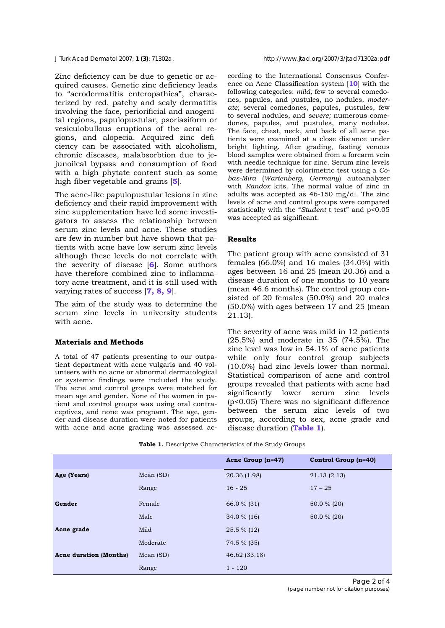Zinc deficiency can be due to genetic or acquired causes. Genetic zinc deficiency leads to "acrodermatitis enteropathica", characterized by red, patchy and scaly dermatitis involving the face, periorificial and anogenital regions, papulopustular, psoriasiform or vesiculobullous eruptions of the acral regions, and alopecia. Acquired zinc deficiency can be associated with alcoholism, chronic diseases, malabsorbtion due to jejunoileal bypass and consumption of food with a high phytate content such as some high-fiber vegetable and grains [**5**].

The acne-like papulopustular lesions in zinc deficiency and their rapid improvement with zinc supplementation have led some investigators to assess the relationship between serum zinc levels and acne. These studies are few in number but have shown that patients with acne have low serum zinc levels although these levels do not correlate with the severity of disease [**6**]. Some authors have therefore combined zinc to inflammatory acne treatment, and it is still used with varying rates of success [**7, 8, 9**].

The aim of the study was to determine the serum zinc levels in university students with acne.

## **Materials and Methods**

A total of 47 patients presenting to our outpatient department with acne vulgaris and 40 volunteers with no acne or abnormal dermatological or systemic findings were included the study. The acne and control groups were matched for mean age and gender. None of the women in patient and control groups was using oral contraceptives, and none was pregnant. The age, gender and disease duration were noted for patients with acne and acne grading was assessed according to the International Consensus Conference on Acne Classification system [**10**] with the following categories: *mild;* few to several comedones, papules, and pustules, no nodules, *moderate*; several comedones, papules, pustules, few to several nodules, and *severe;* numerous comedones, papules, and pustules, many nodules. The face, chest, neck, and back of all acne patients were examined at a close distance under bright lighting. After grading, fasting venous blood samples were obtained from a forearm vein with needle technique for zinc. Serum zinc levels were determined by colorimetric test using a *Cobas-Mira* (*Wartenberg, Germany*) autoanalyzer with *Randox* kits. The normal value of zinc in adults was accepted as 46-150 mg/dl. The zinc levels of acne and control groups were compared statistically with the "*Student* t test" and p<0.05 was accepted as significant.

## **Results**

The patient group with acne consisted of 31 females (66.0%) and 16 males (34.0%) with ages between 16 and 25 (mean 20.36) and a disease duration of one months to 10 years (mean 46.6 months). The control group consisted of 20 females (50.0%) and 20 males (50.0%) with ages between 17 and 25 (mean 21.13).

The severity of acne was mild in 12 patients (25.5%) and moderate in 35 (74.5%). The zinc level was low in 54.1% of acne patients while only four control group subjects (10.0%) had zinc levels lower than normal. Statistical comparison of acne and control groups revealed that patients with acne had significantly lower serum zinc levels (p<0.05) There was no significant difference between the serum zinc levels of two groups, according to sex, acne grade and disease duration (**Table 1**).

|                               |           | Acne Group (n=47) | Control Group (n=40) |
|-------------------------------|-----------|-------------------|----------------------|
| Age (Years)                   | Mean (SD) | 20.36 (1.98)      | 21.13(2.13)          |
|                               | Range     | $16 - 25$         | $17 - 25$            |
| Gender                        | Female    | 66.0 % (31)       | 50.0 % (20)          |
|                               | Male      | 34.0 $%$ (16)     | 50.0 % (20)          |
| Acne grade                    | Mild      | $25.5\%$ (12)     |                      |
|                               | Moderate  | 74.5 % (35)       |                      |
| <b>Acne duration (Months)</b> | Mean (SD) | 46.62 (33.18)     |                      |
|                               | Range     | $1 - 120$         |                      |

**Table 1.** Descriptive Characteristics of the Study Groups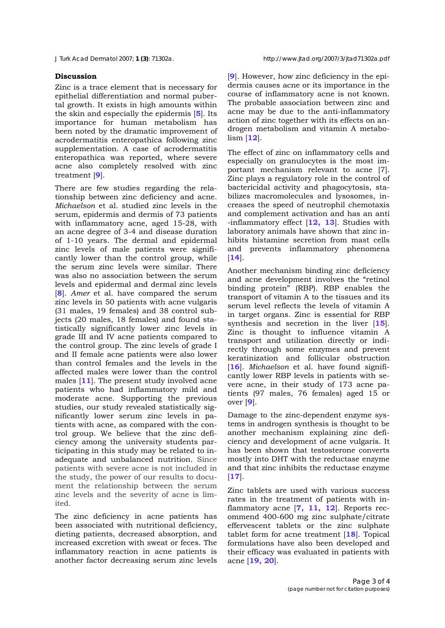## **Discussion**

Zinc is a trace element that is necessary for epithelial differentiation and normal pubertal growth. It exists in high amounts within the skin and especially the epidermis [**5**]. Its importance for human metabolism has been noted by the dramatic improvement of acrodermatitis enteropathica following zinc supplementation. A case of acrodermatitis enteropathica was reported, where severe acne also completely resolved with zinc treatment [**9**].

There are few studies regarding the relationship between zinc deficiency and acne. *Michaelson* et al. studied zinc levels in the serum, epidermis and dermis of 73 patients with inflammatory acne, aged 15-28, with an acne degree of 3-4 and disease duration of 1-10 years. The dermal and epidermal zinc levels of male patients were significantly lower than the control group, while the serum zinc levels were similar. There was also no association between the serum levels and epidermal and dermal zinc levels [**8**]. *Amer* et al. have compared the serum zinc levels in 50 patients with acne vulgaris (31 males, 19 females) and 38 control subjects (20 males, 18 females) and found statistically significantly lower zinc levels in grade III and IV acne patients compared to the control group. The zinc levels of grade I and II female acne patients were also lower than control females and the levels in the affected males were lower than the control males [**11**]. The present study involved acne patients who had inflammatory mild and moderate acne. Supporting the previous studies, our study revealed statistically significantly lower serum zinc levels in patients with acne, as compared with the control group. We believe that the zinc deficiency among the university students participating in this study may be related to inadequate and unbalanced nutrition. Since patients with severe acne is not included in the study, the power of our results to document the relationship between the serum zinc levels and the severity of acne is limited.

The zinc deficiency in acne patients has been associated with nutritional deficiency, dieting patients, decreased absorption, and increased excretion with sweat or feces. The inflammatory reaction in acne patients is another factor decreasing serum zinc levels [**9**]. However, how zinc deficiency in the epidermis causes acne or its importance in the course of inflammatory acne is not known. The probable association between zinc and acne may be due to the anti-inflammatory action of zinc together with its effects on androgen metabolism and vitamin A metabolism [**12**].

The effect of zinc on inflammatory cells and especially on granulocytes is the most important mechanism relevant to acne [7]. Zinc plays a regulatory role in the control of bactericidal activity and phagocytosis, stabilizes macromolecules and lysosomes, increases the speed of neutrophil chemotaxis and complement activation and has an anti -inflammatory effect [**12, 13**]. Studies with laboratory animals have shown that zinc inhibits histamine secretion from mast cells and prevents inflammatory phenomena [**14**].

Another mechanism binding zinc deficiency and acne development involves the "retinol binding protein" (RBP). RBP enables the transport of vitamin A to the tissues and its serum level reflects the levels of vitamin A in target organs. Zinc is essential for RBP synthesis and secretion in the liver [**15**]. Zinc is thought to influence vitamin A transport and utilization directly or indirectly through some enzymes and prevent keratinization and follicular obstruction [**16**]. *Michaelson* et al. have found significantly lower RBP levels in patients with severe acne, in their study of 173 acne patients (97 males, 76 females) aged 15 or over [**9**].

Damage to the zinc-dependent enzyme systems in androgen synthesis is thought to be another mechanism explaining zinc deficiency and development of acne vulgaris. It has been shown that testosterone converts mostly into DHT with the reductase enzyme and that zinc inhibits the reductase enzyme [**17**].

Zinc tablets are used with various success rates in the treatment of patients with inflammatory acne [**7, 11, 12**]. Reports recommend 400-600 mg zinc sulphate/citrate effervescent tablets or the zinc sulphate tablet form for acne treatment [**18**]. Topical formulations have also been developed and their efficacy was evaluated in patients with acne [**19, 20**].